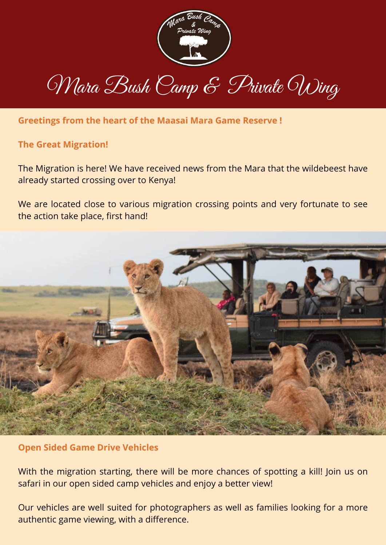

## Mara Bush Camp & Private Wing

**Greetings from the heart of the Maasai Mara Game Reserve !**

## **The Great Migration!**

The Migration is here! We have received news from the Mara that the wildebeest have already started crossing over to Kenya!

We are located close to various migration crossing points and very fortunate to see the action take place, first hand!



## **Open Sided Game Drive Vehicles**

With the migration starting, there will be more chances of spotting a kill! Join us on safari in our open sided camp vehicles and enjoy a better view!

Our vehicles are well suited for photographers as well as families looking for a more authentic game viewing, with a difference.